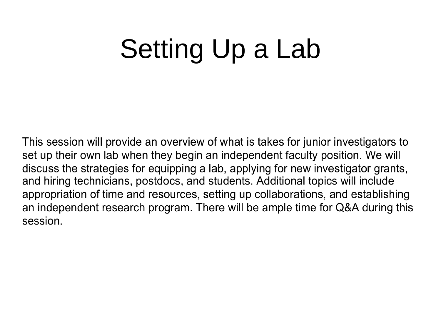# Setting Up a Lab

This session will provide an overview of what is takes for junior investigators to set up their own lab when they begin an independent faculty position. We will discuss the strategies for equipping a lab, applying for new investigator grants, and hiring technicians, postdocs, and students. Additional topics will include appropriation of time and resources, setting up collaborations, and establishing an independent research program. There will be ample time for Q&A during this session.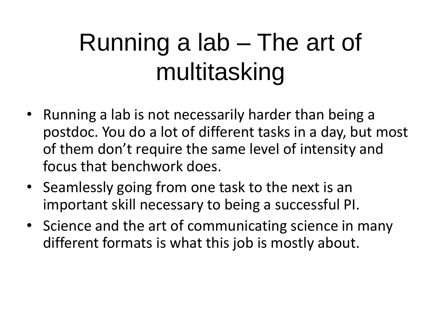# Running a lab – The art of multitasking

- Running a lab is not necessarily harder than being a postdoc. You do a lot of different tasks in a day, but most of them don't require the same level of intensity and focus that benchwork does.
- Seamlessly going from one task to the next is an important skill necessary to being a successful PI.
- Science and the art of communicating science in many different formats is what this job is mostly about.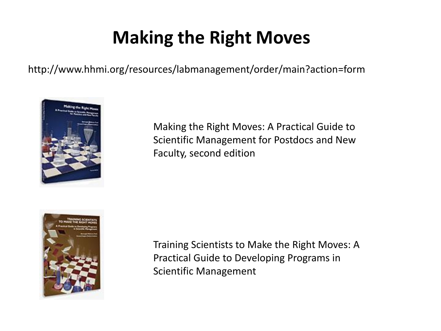### **Making the Right Moves**

http://www.hhmi.org/resources/labmanagement/order/main?action=form



Making the Right Moves: A Practical Guide to Scientific Management for Postdocs and New Faculty, second edition



Training Scientists to Make the Right Moves: A Practical Guide to Developing Programs in Scientific Management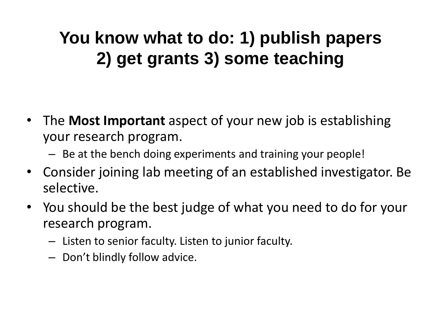#### **You know what to do: 1) publish papers 2) get grants 3) some teaching**

- The **Most Important** aspect of your new job is establishing your research program.
	- Be at the bench doing experiments and training your people!
- Consider joining lab meeting of an established investigator. Be selective.
- You should be the best judge of what you need to do for your research program.
	- Listen to senior faculty. Listen to junior faculty.
	- Don't blindly follow advice.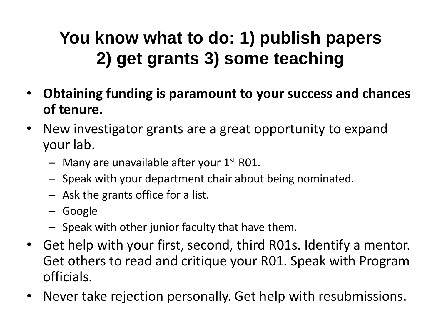#### **You know what to do: 1) publish papers 2) get grants 3) some teaching**

- **Obtaining funding is paramount to your success and chances of tenure.**
- New investigator grants are a great opportunity to expand your lab.
	- $-$  Many are unavailable after your  $1<sup>st</sup>$  R01.
	- Speak with your department chair about being nominated.
	- Ask the grants office for a list.
	- Google
	- Speak with other junior faculty that have them.
- Get help with your first, second, third R01s. Identify a mentor. Get others to read and critique your R01. Speak with Program officials.
- Never take rejection personally. Get help with resubmissions.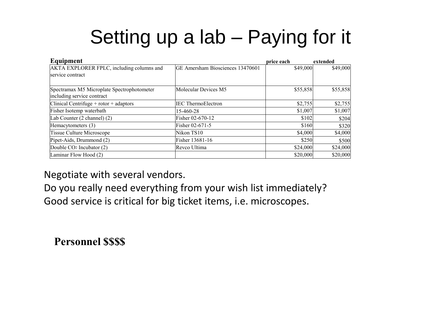### Setting up a lab – Paying for it

| Equipment                                  |                                  | price each | extended |
|--------------------------------------------|----------------------------------|------------|----------|
| AKTA EXPLORER FPLC, including columns and  | GE Amersham Biosciences 13470601 | \$49,000   | \$49,000 |
| service contract                           |                                  |            |          |
|                                            |                                  |            |          |
| Spectramax M5 Microplate Spectrophotometer | Molecular Devices M5             | \$55,858   | \$55,858 |
| including service contract                 |                                  |            |          |
| Clinical Centrifuge $+$ rotor $+$ adaptors | <b>IEC</b> ThermoElectron        | \$2,755    | \$2,755  |
| Fisher Isotemp waterbath                   | 15-460-28                        | \$1,007    | \$1,007  |
| Lab Counter (2 channel) (2)                | Fisher 02-670-12                 | \$102      | \$204    |
| Hemacytometers (3)                         | Fisher 02-671-5                  | \$160      | \$320    |
| <b>Tissue Culture Microscope</b>           | Nikon TS10                       | \$4,000    | \$4,000  |
| Pipet-Aids, Drummond (2)                   | Fisher 13681-16                  | \$250      | \$500    |
| Double CO <sub>2</sub> Incubator (2)       | Revco Ultima                     | \$24,000   | \$24,000 |
| Laminar Flow Hood (2)                      |                                  | \$20,000   | \$20,000 |

Negotiate with several vendors.

Do you really need everything from your wish list immediately? Good service is critical for big ticket items, i.e. microscopes.

**Personnel \$\$\$\$**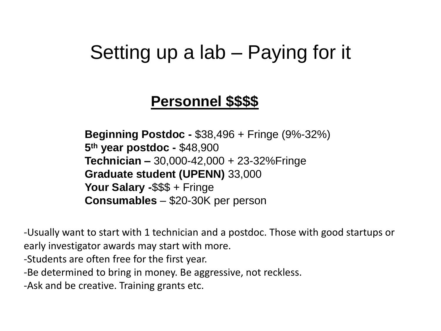#### Setting up a lab – Paying for it

#### **Personnel \$\$\$\$**

**Beginning Postdoc -** \$38,496 + Fringe (9%-32%) **5th year postdoc -** \$48,900 **Technician –** 30,000-42,000 + 23-32%Fringe **Graduate student (UPENN)** 33,000 **Your Salary -**\$\$\$ + Fringe **Consumables** – \$20-30K per person

-Usually want to start with 1 technician and a postdoc. Those with good startups or early investigator awards may start with more.

-Students are often free for the first year.

-Be determined to bring in money. Be aggressive, not reckless.

-Ask and be creative. Training grants etc.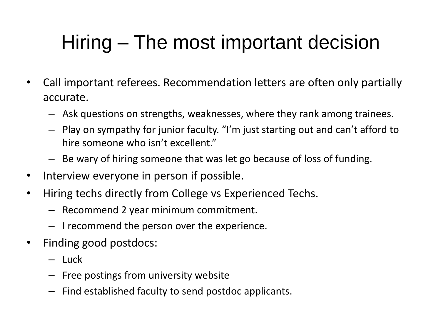### Hiring – The most important decision

- Call important referees. Recommendation letters are often only partially accurate.
	- Ask questions on strengths, weaknesses, where they rank among trainees.
	- Play on sympathy for junior faculty. "I'm just starting out and can't afford to hire someone who isn't excellent."
	- Be wary of hiring someone that was let go because of loss of funding.
- Interview everyone in person if possible.
- Hiring techs directly from College vs Experienced Techs.
	- Recommend 2 year minimum commitment.
	- I recommend the person over the experience.
- Finding good postdocs:
	- Luck
	- Free postings from university website
	- Find established faculty to send postdoc applicants.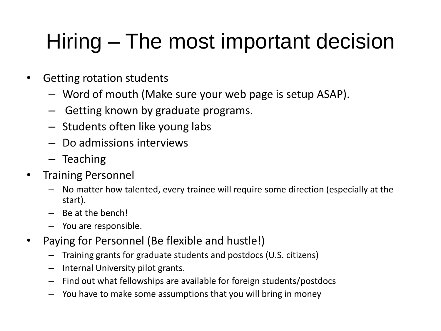## Hiring – The most important decision

- Getting rotation students
	- Word of mouth (Make sure your web page is setup ASAP).
	- Getting known by graduate programs.
	- Students often like young labs
	- Do admissions interviews
	- Teaching
- Training Personnel
	- No matter how talented, every trainee will require some direction (especially at the start).
	- Be at the bench!
	- You are responsible.
- Paying for Personnel (Be flexible and hustle!)
	- Training grants for graduate students and postdocs (U.S. citizens)
	- Internal University pilot grants.
	- Find out what fellowships are available for foreign students/postdocs
	- You have to make some assumptions that you will bring in money